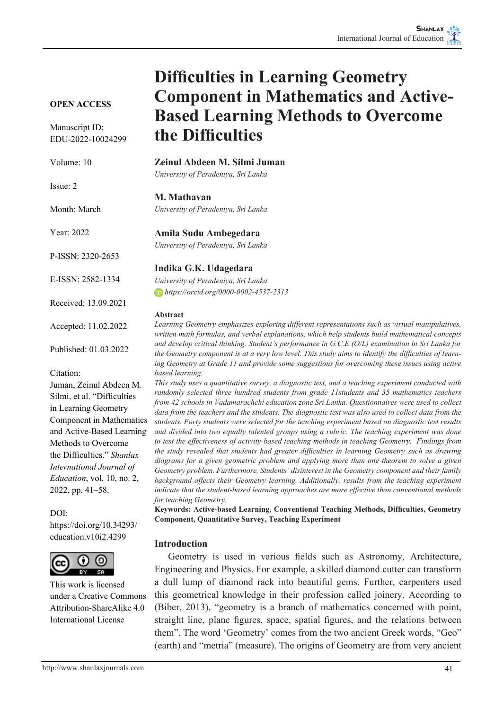# **OPEN ACCESS**

Manuscript ID: EDU-2022-10024299

Volume: 10

Issue: 2

Month: March

Year: 2022

P-ISSN: 2320-2653

E-ISSN: 2582-1334

Received: 13.09.2021

Accepted: 11.02.2022

Published: 01.03.2022

Citation:

Juman, Zeinul Abdeen M. Silmi, et al. "Difficulties in Learning Geometry Component in Mathematics and Active-Based Learning Methods to Overcome the Difficulties." *Shanlax International Journal of Education*, vol. 10, no. 2, 2022, pp. 41–58.

DOI: https://doi.org/10.34293/ education.v10i2.4299



This work is licensed under a Creative Commons Attribution-ShareAlike 4.0 International License

# **Difficulties in Learning Geometry Component in Mathematics and Active-Based Learning Methods to Overcome the Difficulties**

**Zeinul Abdeen M. Silmi Juman**

*University of Peradeniya, Sri Lanka*

#### **M. Mathavan**

*University of Peradeniya, Sri Lanka*

#### **Amila Sudu Ambegedara**

*University of Peradeniya, Sri Lanka*

#### **Indika G.K. Udagedara**

*University of Peradeniya, Sri Lanka https://orcid.org/0000-0002-4537-2313*

#### **Abstract**

*Learning Geometry emphasizes exploring different representations such as virtual manipulatives, written math formulas, and verbal explanations, which help students build mathematical concepts and develop critical thinking. Student's performance in G.C.E (O/L) examination in Sri Lanka for the Geometry component is at a very low level. This study aims to identify the difficulties of learning Geometry at Grade 11 and provide some suggestions for overcoming these issues using active based learning.* 

*This study uses a quantitative survey, a diagnostic test, and a teaching experiment conducted with randomly selected three hundred students from grade 11students and 35 mathematics teachers from 42 schools in Vadamarachchi education zone Sri Lanka. Questionnaires were used to collect data from the teachers and the students. The diagnostic test was also used to collect data from the students. Forty students were selected for the teaching experiment based on diagnostic test results and divided into two equally talented groups using a rubric. The teaching experiment was done to test the effectiveness of activity-based teaching methods in teaching Geometry. Findings from the study revealed that students had greater difficulties in learning Geometry such as drawing diagrams for a given geometric problem and applying more than one theorem to solve a given Geometry problem. Furthermore, Students' disinterest in the Geometry component and their family background affects their Geometry learning. Additionally, results from the teaching experiment indicate that the student-based learning approaches are more effective than conventional methods for teaching Geometry.*

**Keywords: Active-based Learning, Conventional Teaching Methods, Difficulties, Geometry Component, Quantitative Survey, Teaching Experiment**

#### **Introduction**

 Geometry is used in various fields such as Astronomy, Architecture, Engineering and Physics. For example, a skilled diamond cutter can transform a dull lump of diamond rack into beautiful gems. Further, carpenters used this geometrical knowledge in their profession called joinery. According to (Biber, 2013), "geometry is a branch of mathematics concerned with point, straight line, plane figures, space, spatial figures, and the relations between them". The word 'Geometry' comes from the two ancient Greek words, "Geo" (earth) and "metria" (measure). The origins of Geometry are from very ancient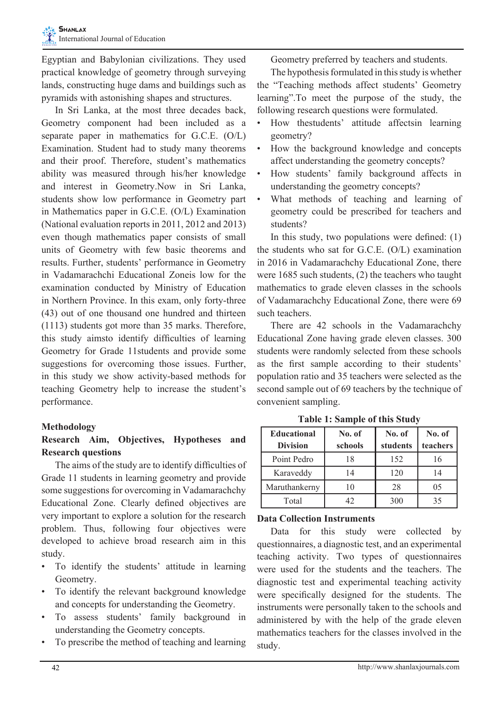Egyptian and Babylonian civilizations. They used practical knowledge of geometry through surveying lands, constructing huge dams and buildings such as pyramids with astonishing shapes and structures.

 In Sri Lanka, at the most three decades back, Geometry component had been included as a separate paper in mathematics for G.C.E. (O/L) Examination. Student had to study many theorems and their proof. Therefore, student's mathematics ability was measured through his/her knowledge and interest in Geometry.Now in Sri Lanka, students show low performance in Geometry part in Mathematics paper in G.C.E. (O/L) Examination (National evaluation reports in 2011, 2012 and 2013) even though mathematics paper consists of small units of Geometry with few basic theorems and results. Further, students' performance in Geometry in Vadamarachchi Educational Zoneis low for the examination conducted by Ministry of Education in Northern Province. In this exam, only forty-three (43) out of one thousand one hundred and thirteen (1113) students got more than 35 marks. Therefore, this study aimsto identify difficulties of learning Geometry for Grade 11students and provide some suggestions for overcoming those issues. Further, in this study we show activity-based methods for teaching Geometry help to increase the student's performance.

## **Methodology**

# **Research Aim, Objectives, Hypotheses and Research questions**

 The aims of the study are to identify difficulties of Grade 11 students in learning geometry and provide some suggestions for overcoming in Vadamarachchy Educational Zone. Clearly defined objectives are very important to explore a solution for the research problem. Thus, following four objectives were developed to achieve broad research aim in this study.

- To identify the students' attitude in learning Geometry.
- To identify the relevant background knowledge and concepts for understanding the Geometry.
- • To assess students' family background in understanding the Geometry concepts.
- To prescribe the method of teaching and learning

Geometry preferred by teachers and students.

The hypothesis formulated in this study is whether the "Teaching methods affect students' Geometry learning".To meet the purpose of the study, the following research questions were formulated.

- How thestudents' attitude affectsin learning geometry?
- • How the background knowledge and concepts affect understanding the geometry concepts?
- How students' family background affects in understanding the geometry concepts?
- What methods of teaching and learning of geometry could be prescribed for teachers and students?

 In this study, two populations were defined: (1) the students who sat for G.C.E. (O/L) examination in 2016 in Vadamarachchy Educational Zone, there were 1685 such students, (2) the teachers who taught mathematics to grade eleven classes in the schools of Vadamarachchy Educational Zone, there were 69 such teachers.

 There are 42 schools in the Vadamarachchy Educational Zone having grade eleven classes. 300 students were randomly selected from these schools as the first sample according to their students' population ratio and 35 teachers were selected as the second sample out of 69 teachers by the technique of convenient sampling.

| <b>Educational</b><br><b>Division</b> | No. of<br>schools | No. of<br>students | No. of<br>teachers |
|---------------------------------------|-------------------|--------------------|--------------------|
| Point Pedro                           | 18                | 152                | 16                 |
| Karaveddy                             | 14                | 120                | 14                 |
| Maruthankerny                         | 10                | 28                 | 05                 |
| Total                                 |                   | 300                | 35                 |

**Table 1: Sample of this Study**

## **Data Collection Instruments**

 Data for this study were collected by questionnaires, a diagnostic test, and an experimental teaching activity. Two types of questionnaires were used for the students and the teachers. The diagnostic test and experimental teaching activity were specifically designed for the students. The instruments were personally taken to the schools and administered by with the help of the grade eleven mathematics teachers for the classes involved in the study.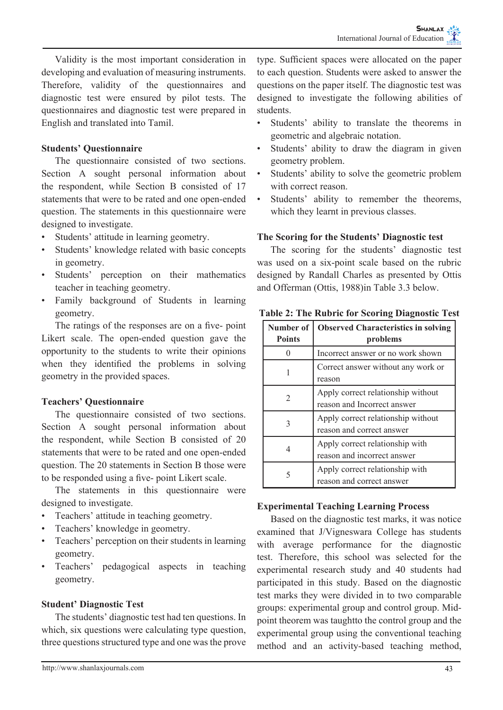Validity is the most important consideration in developing and evaluation of measuring instruments. Therefore, validity of the questionnaires and diagnostic test were ensured by pilot tests. The questionnaires and diagnostic test were prepared in English and translated into Tamil.

## **Students' Questionnaire**

 The questionnaire consisted of two sections. Section A sought personal information about the respondent, while Section B consisted of 17 statements that were to be rated and one open-ended question. The statements in this questionnaire were designed to investigate.

- Students' attitude in learning geometry.
- Students' knowledge related with basic concepts in geometry.
- • Students' perception on their mathematics teacher in teaching geometry.
- • Family background of Students in learning geometry.

 The ratings of the responses are on a five- point Likert scale. The open-ended question gave the opportunity to the students to write their opinions when they identified the problems in solving geometry in the provided spaces.

## **Teachers' Questionnaire**

 The questionnaire consisted of two sections. Section A sought personal information about the respondent, while Section B consisted of 20 statements that were to be rated and one open-ended question. The 20 statements in Section B those were to be responded using a five- point Likert scale.

 The statements in this questionnaire were designed to investigate.

- Teachers' attitude in teaching geometry.
- Teachers' knowledge in geometry.
- • Teachers' perception on their students in learning geometry.
- Teachers' pedagogical aspects in teaching geometry.

## **Student' Diagnostic Test**

 The students' diagnostic test had ten questions. In which, six questions were calculating type question, three questions structured type and one was the prove

type. Sufficient spaces were allocated on the paper to each question. Students were asked to answer the questions on the paper itself. The diagnostic test was designed to investigate the following abilities of students.

- Students' ability to translate the theorems in geometric and algebraic notation.
- Students' ability to draw the diagram in given geometry problem.
- Students' ability to solve the geometric problem with correct reason.
- Students' ability to remember the theorems, which they learnt in previous classes.

#### **The Scoring for the Students' Diagnostic test**

 The scoring for the students' diagnostic test was used on a six-point scale based on the rubric designed by Randall Charles as presented by Ottis and Offerman (Ottis, 1988)in Table 3.3 below.

| Number of<br><b>Points</b> | <b>Observed Characteristics in solving</b><br>problems            |
|----------------------------|-------------------------------------------------------------------|
|                            | Incorrect answer or no work shown                                 |
|                            | Correct answer without any work or<br>reason                      |
|                            | Apply correct relationship without<br>reason and Incorrect answer |
|                            | Apply correct relationship without<br>reason and correct answer   |
|                            | Apply correct relationship with<br>reason and incorrect answer    |
| 5                          | Apply correct relationship with<br>reason and correct answer      |

**Table 2: The Rubric for Scoring Diagnostic Test**

## **Experimental Teaching Learning Process**

 Based on the diagnostic test marks, it was notice examined that J/Vigneswara College has students with average performance for the diagnostic test. Therefore, this school was selected for the experimental research study and 40 students had participated in this study. Based on the diagnostic test marks they were divided in to two comparable groups: experimental group and control group. Midpoint theorem was taughtto the control group and the experimental group using the conventional teaching method and an activity-based teaching method,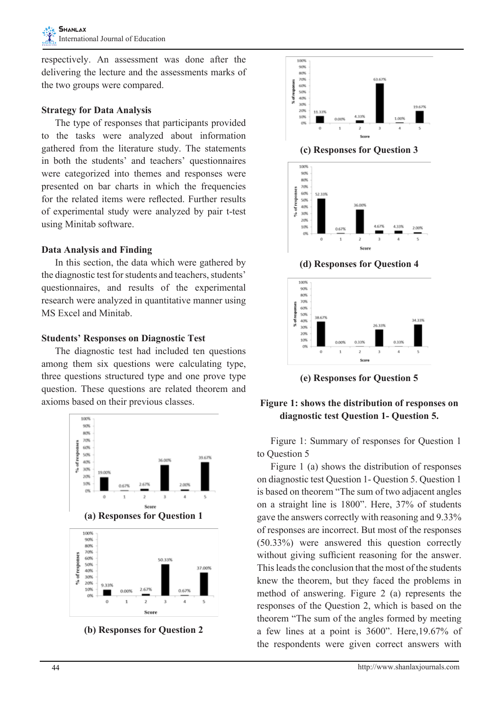respectively. An assessment was done after the delivering the lecture and the assessments marks of the two groups were compared.

#### **Strategy for Data Analysis**

 The type of responses that participants provided to the tasks were analyzed about information gathered from the literature study. The statements in both the students' and teachers' questionnaires were categorized into themes and responses were presented on bar charts in which the frequencies for the related items were reflected. Further results of experimental study were analyzed by pair t-test using Minitab software.

#### **Data Analysis and Finding**

 In this section, the data which were gathered by the diagnostic test for students and teachers, students' questionnaires, and results of the experimental research were analyzed in quantitative manner using MS Excel and Minitab.

#### **Students' Responses on Diagnostic Test**

 The diagnostic test had included ten questions among them six questions were calculating type, three questions structured type and one prove type question. These questions are related theorem and axioms based on their previous classes.



**(b) Responses for Question 2**



**(c) Responses for Question 3**



**(d) Responses for Question 4**



**(e) Responses for Question 5**

## **Figure 1: shows the distribution of responses on diagnostic test Question 1- Question 5.**

 Figure 1: Summary of responses for Question 1 to Question 5

 Figure 1 (a) shows the distribution of responses on diagnostic test Question 1- Question 5. Question 1 is based on theorem "The sum of two adjacent angles on a straight line is 1800". Here, 37% of students gave the answers correctly with reasoning and 9.33% of responses are incorrect. But most of the responses (50.33%) were answered this question correctly without giving sufficient reasoning for the answer. This leads the conclusion that the most of the students knew the theorem, but they faced the problems in method of answering. Figure 2 (a) represents the responses of the Question 2, which is based on the theorem "The sum of the angles formed by meeting a few lines at a point is 3600". Here,19.67% of the respondents were given correct answers with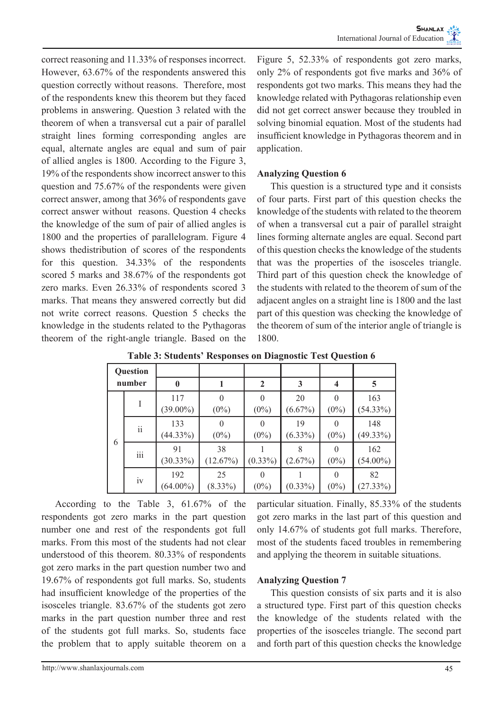correct reasoning and 11.33% of responses incorrect. However, 63.67% of the respondents answered this question correctly without reasons. Therefore, most of the respondents knew this theorem but they faced problems in answering. Question 3 related with the theorem of when a transversal cut a pair of parallel straight lines forming corresponding angles are equal, alternate angles are equal and sum of pair of allied angles is 1800. According to the Figure 3, 19% of the respondents show incorrect answer to this question and 75.67% of the respondents were given correct answer, among that 36% of respondents gave correct answer without reasons. Question 4 checks the knowledge of the sum of pair of allied angles is 1800 and the properties of parallelogram. Figure 4 shows thedistribution of scores of the respondents for this question. 34.33% of the respondents scored 5 marks and 38.67% of the respondents got zero marks. Even 26.33% of respondents scored 3 marks. That means they answered correctly but did not write correct reasons. Question 5 checks the knowledge in the students related to the Pythagoras theorem of the right-angle triangle. Based on the

Figure 5, 52.33% of respondents got zero marks, only 2% of respondents got five marks and 36% of respondents got two marks. This means they had the knowledge related with Pythagoras relationship even did not get correct answer because they troubled in solving binomial equation. Most of the students had insufficient knowledge in Pythagoras theorem and in application.

#### **Analyzing Question 6**

 This question is a structured type and it consists of four parts. First part of this question checks the knowledge of the students with related to the theorem of when a transversal cut a pair of parallel straight lines forming alternate angles are equal. Second part of this question checks the knowledge of the students that was the properties of the isosceles triangle. Third part of this question check the knowledge of the students with related to the theorem of sum of the adjacent angles on a straight line is 1800 and the last part of this question was checking the knowledge of the theorem of sum of the interior angle of triangle is 1800.

| Question<br>number |                                   |                    |                     |              |                  |         |                    |
|--------------------|-----------------------------------|--------------------|---------------------|--------------|------------------|---------|--------------------|
|                    |                                   | $\bf{0}$           |                     | 2            | 3                | 4       | 5                  |
|                    |                                   | 117<br>$(39.00\%)$ | $\Omega$<br>$(0\%)$ | $(0\%)$      | 20<br>$(6.67\%)$ | $(0\%)$ | 163<br>$(54.33\%)$ |
|                    | $\overline{\textbf{1}}\textbf{1}$ | 133<br>(44.33%)    | $(0\%)$             | O<br>$(0\%)$ | 19<br>$(6.33\%)$ | $(0\%)$ | 148<br>$(49.33\%)$ |
| 6                  | iii                               | 91<br>$(30.33\%)$  | 38<br>(12.67%)      | $(0.33\%)$   | (2.67%)          | $(0\%)$ | 162<br>$(54.00\%)$ |
|                    | iv                                | 192<br>$(64.00\%)$ | 25<br>$(8.33\%)$    | $(0\%)$      | $(0.33\%)$       | $(0\%)$ | 82<br>(27.33%)     |

**Table 3: Students' Responses on Diagnostic Test Question 6**

According to the Table 3, 61.67% of the respondents got zero marks in the part question number one and rest of the respondents got full marks. From this most of the students had not clear understood of this theorem. 80.33% of respondents got zero marks in the part question number two and 19.67% of respondents got full marks. So, students had insufficient knowledge of the properties of the isosceles triangle. 83.67% of the students got zero marks in the part question number three and rest of the students got full marks. So, students face the problem that to apply suitable theorem on a particular situation. Finally, 85.33% of the students got zero marks in the last part of this question and only 14.67% of students got full marks. Therefore, most of the students faced troubles in remembering and applying the theorem in suitable situations.

#### **Analyzing Question 7**

 This question consists of six parts and it is also a structured type. First part of this question checks the knowledge of the students related with the properties of the isosceles triangle. The second part and forth part of this question checks the knowledge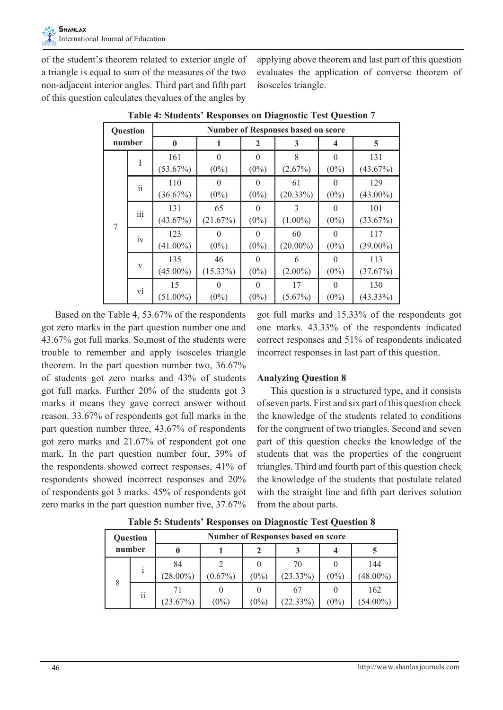of the student's theorem related to exterior angle of a triangle is equal to sum of the measures of the two non-adjacent interior angles. Third part and fifth part of this question calculates thevalues of the angles by

applying above theorem and last part of this question evaluates the application of converse theorem of isosceles triangle.

| Question |     | <b>Number of Responses based on score</b> |                     |                     |                             |                     |                    |  |  |  |
|----------|-----|-------------------------------------------|---------------------|---------------------|-----------------------------|---------------------|--------------------|--|--|--|
| number   |     | $\bf{0}$                                  |                     | 2                   | 3                           | 4                   | 5                  |  |  |  |
| 7        |     | 161<br>(53.67%)                           | $\theta$<br>$(0\%)$ | $\theta$<br>$(0\%)$ | 8<br>(2.67%)                | $\Omega$<br>$(0\%)$ | 131<br>(43.67%)    |  |  |  |
|          | ii  | 110<br>(36.67%)                           | 0<br>$(0\%)$        | $\theta$<br>$(0\%)$ | 61<br>$(20.33\%)$           | $\theta$<br>$(0\%)$ | 129<br>$(43.00\%)$ |  |  |  |
|          | iii | 131<br>(43.67%)                           | 65<br>(21.67%)      | $\Omega$<br>$(0\%)$ | $\mathcal{E}$<br>$(1.00\%)$ | $\Omega$<br>$(0\%)$ | 101<br>(33.67%)    |  |  |  |
|          | iv  | 123<br>$(41.00\%)$                        | 0<br>$(0\%)$        | $\Omega$<br>$(0\%)$ | 60<br>$(20.00\%)$           | $\Omega$<br>$(0\%)$ | 117<br>$(39.00\%)$ |  |  |  |
|          | V   | 135<br>$(45.00\%)$                        | 46<br>$(15.33\%)$   | $\theta$<br>$(0\%)$ | 6<br>$(2.00\%)$             | $\theta$<br>$(0\%)$ | 113<br>(37.67%)    |  |  |  |
|          | vi  | 15<br>$(51.00\%)$                         | 0<br>$(0\%)$        | $\Omega$<br>$(0\%)$ | 17<br>$(5.67\%)$            | $\Omega$<br>$(0\%)$ | 130<br>$(43.33\%)$ |  |  |  |

**Table 4: Students' Responses on Diagnostic Test Question 7**

 Based on the Table 4, 53.67% of the respondents got zero marks in the part question number one and 43.67% got full marks. So,most of the students were trouble to remember and apply isosceles triangle theorem. In the part question number two, 36.67% of students got zero marks and 43% of students got full marks. Further 20% of the students got 3 marks it means they gave correct answer without reason. 33.67% of respondents got full marks in the part question number three, 43.67% of respondents got zero marks and 21.67% of respondent got one mark. In the part question number four, 39% of the respondents showed correct responses, 41% of respondents showed incorrect responses and 20% of respondents got 3 marks. 45% of respondents got zero marks in the part question number five, 37.67% got full marks and 15.33% of the respondents got one marks. 43.33% of the respondents indicated correct responses and 51% of respondents indicated incorrect responses in last part of this question.

#### **Analyzing Question 8**

 This question is a structured type, and it consists of seven parts. First and six part of this question check the knowledge of the students related to conditions for the congruent of two triangles. Second and seven part of this question checks the knowledge of the students that was the properties of the congruent triangles. Third and fourth part of this question check the knowledge of the students that postulate related with the straight line and fifth part derives solution from the about parts.

| <b>Question</b><br>number |        | <b>Number of Responses based on score</b> |            |         |                   |         |                    |  |  |  |
|---------------------------|--------|-------------------------------------------|------------|---------|-------------------|---------|--------------------|--|--|--|
|                           |        |                                           |            |         |                   |         |                    |  |  |  |
| 8                         |        | 84<br>$(28.00\%)$                         | $(0.67\%)$ | $(0\%)$ | 70<br>$(23.33\%)$ | $(0\%)$ | 144<br>$(48.00\%)$ |  |  |  |
|                           | <br>11 | 71<br>(23.67%)                            | $(0\%)$    | $(0\%)$ | 67<br>(22.33%)    | $(0\%)$ | 162<br>$(54.00\%)$ |  |  |  |

**Table 5: Students' Responses on Diagnostic Test Question 8**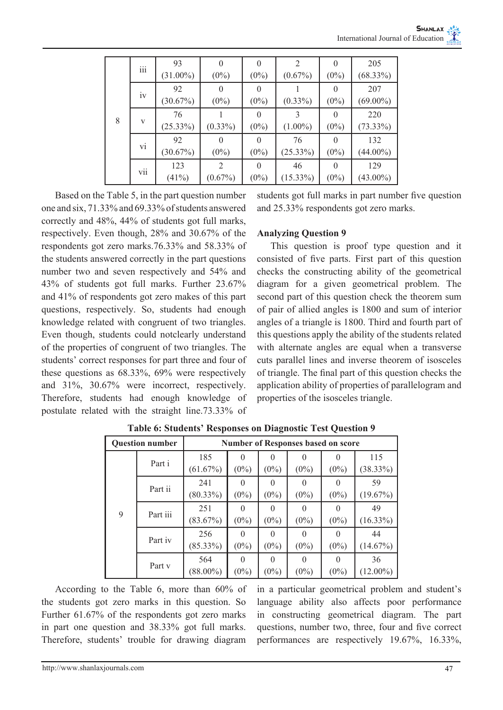|   | iii | 93          | $\Omega$       | $\Omega$ |             | $\theta$ | 205         |
|---|-----|-------------|----------------|----------|-------------|----------|-------------|
|   |     | $(31.00\%)$ | $(0\%)$        | $(0\%)$  | $(0.67\%)$  | $(0\%)$  | $(68.33\%)$ |
|   | iv  | 92          | $\Omega$       | $\Omega$ |             | $\theta$ | 207         |
|   |     | (30.67%)    | $(0\%)$        | $(0\%)$  | $(0.33\%)$  | $(0\%)$  | $(69.00\%)$ |
|   |     | 76          |                | $\theta$ |             | $\theta$ | 220         |
| 8 | V   | $(25.33\%)$ | $(0.33\%)$     | $(0\%)$  | $(1.00\%)$  | $(0\%)$  | $(73.33\%)$ |
|   | vi  | 92          | $\Omega$       | $\Omega$ | 76          | $\Omega$ | 132         |
|   |     | (30.67%)    | $(0\%)$        | $(0\%)$  | (25.33%)    | $(0\%)$  | $(44.00\%)$ |
|   | vii | 123         | $\mathfrak{D}$ | $\Omega$ | 46          | $\Omega$ | 129         |
|   |     | (41%)       | $(0.67\%)$     | $(0\%)$  | $(15.33\%)$ | $(0\%)$  | $(43.00\%)$ |

 Based on the Table 5, in the part question number one and six,  $71.33\%$  and 69.33% of students answered correctly and 48%, 44% of students got full marks, respectively. Even though, 28% and 30.67% of the respondents got zero marks.76.33% and 58.33% of the students answered correctly in the part questions number two and seven respectively and 54% and 43% of students got full marks. Further 23.67% and 41% of respondents got zero makes of this part questions, respectively. So, students had enough knowledge related with congruent of two triangles. Even though, students could notclearly understand of the properties of congruent of two triangles. The students' correct responses for part three and four of these questions as 68.33%, 69% were respectively and 31%, 30.67% were incorrect, respectively. Therefore, students had enough knowledge of postulate related with the straight line.73.33% of

students got full marks in part number five question and 25.33% respondents got zero marks.

#### **Analyzing Question 9**

 This question is proof type question and it consisted of five parts. First part of this question checks the constructing ability of the geometrical diagram for a given geometrical problem. The second part of this question check the theorem sum of pair of allied angles is 1800 and sum of interior angles of a triangle is 1800. Third and fourth part of this questions apply the ability of the students related with alternate angles are equal when a transverse cuts parallel lines and inverse theorem of isosceles of triangle. The final part of this question checks the application ability of properties of parallelogram and properties of the isosceles triangle.

| <b>Ouestion number</b> |          | <b>Number of Responses based on score</b> |                     |                          |              |         |                   |  |  |
|------------------------|----------|-------------------------------------------|---------------------|--------------------------|--------------|---------|-------------------|--|--|
|                        | Part i   | 185<br>(61.67%)                           | $\Omega$<br>$(0\%)$ | $(0\%)$                  | $(0\%)$      | $(0\%)$ | 115<br>(38.33%)   |  |  |
| 9                      | Part ii  | 241<br>$(80.33\%)$                        | $\Omega$<br>$(0\%)$ | $(0\%)$                  | $(0\%)$      | $(0\%)$ | 59<br>(19.67%)    |  |  |
|                        | Part iii | 251<br>(83.67%)                           | $\Omega$<br>$(0\%)$ | $\Omega$<br>$(0\%)$      | 0<br>$(0\%)$ | $(0\%)$ | 49<br>$(16.33\%)$ |  |  |
|                        | Part iv  | 256<br>$(85.33\%)$                        | $\Omega$<br>$(0\%)$ | $\mathcal{O}$<br>$(0\%)$ | $(0\%)$      | $(0\%)$ | 44<br>(14.67%)    |  |  |
|                        | Part y   | 564<br>$(88.00\%)$                        | $\Omega$<br>$(0\%)$ | $\Omega$<br>$(0\%)$      | 0<br>$(0\%)$ | $(0\%)$ | 36<br>$(12.00\%)$ |  |  |

**Table 6: Students' Responses on Diagnostic Test Question 9**

 According to the Table 6, more than 60% of the students got zero marks in this question. So Further 61.67% of the respondents got zero marks in part one question and 38.33% got full marks. Therefore, students' trouble for drawing diagram

in a particular geometrical problem and student's language ability also affects poor performance in constructing geometrical diagram. The part questions, number two, three, four and five correct performances are respectively 19.67%, 16.33%,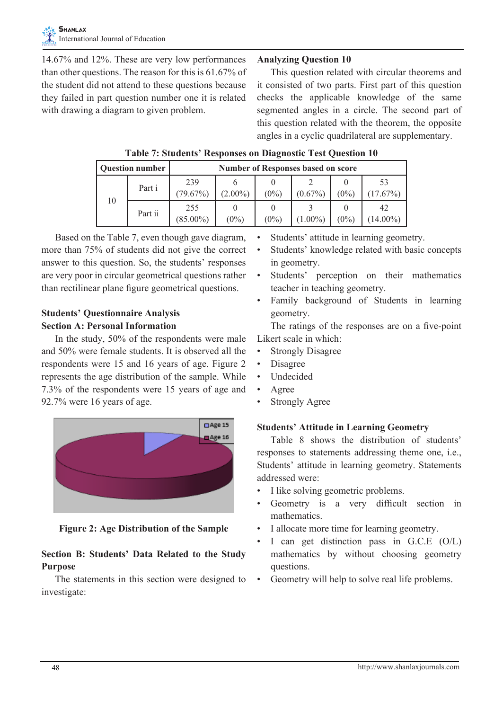14.67% and 12%. These are very low performances than other questions. The reason for this is 61.67% of the student did not attend to these questions because they failed in part question number one it is related with drawing a diagram to given problem.

#### **Analyzing Question 10**

 This question related with circular theorems and it consisted of two parts. First part of this question checks the applicable knowledge of the same segmented angles in a circle. The second part of this question related with the theorem, the opposite angles in a cyclic quadrilateral are supplementary.

| <b>Question number</b> |         | <b>Number of Responses based on score</b> |            |         |            |         |                 |  |  |
|------------------------|---------|-------------------------------------------|------------|---------|------------|---------|-----------------|--|--|
|                        | Part i  | 239<br>79.67%)                            | $(2.00\%)$ | $(0\%)$ | $(0.67\%)$ | $(0\%)$ | $17.67\%$       |  |  |
| 10                     | Part ii | 255<br>$(85.00\%)$                        | $(0\%)$    | $(0\%)$ | $1.00\%$   | $(0\%)$ | 42<br>$14.00\%$ |  |  |

## **Table 7: Students' Responses on Diagnostic Test Question 10**

 Based on the Table 7, even though gave diagram, more than 75% of students did not give the correct answer to this question. So, the students' responses are very poor in circular geometrical questions rather than rectilinear plane figure geometrical questions.

## **Students' Questionnaire Analysis Section A: Personal Information**

 In the study, 50% of the respondents were male and 50% were female students. It is observed all the respondents were 15 and 16 years of age. Figure 2 represents the age distribution of the sample. While 7.3% of the respondents were 15 years of age and 92.7% were 16 years of age.



**Figure 2: Age Distribution of the Sample**

## **Section B: Students' Data Related to the Study Purpose**

The statements in this section were designed to investigate:

- Students' attitude in learning geometry.
- • Students' knowledge related with basic concepts in geometry.
- Students' perception on their mathematics teacher in teaching geometry.
- Family background of Students in learning geometry.

 The ratings of the responses are on a five-point Likert scale in which:

- **Strongly Disagree**
- Disagree
- **Undecided**
- **Agree**
- **Strongly Agree**

## **Students' Attitude in Learning Geometry**

 Table 8 shows the distribution of students' responses to statements addressing theme one, i.e., Students' attitude in learning geometry. Statements addressed were:

- I like solving geometric problems.
- Geometry is a very difficult section in mathematics.
- I allocate more time for learning geometry.
- I can get distinction pass in  $G.C.E$   $(O/L)$ mathematics by without choosing geometry questions.
- • Geometry will help to solve real life problems.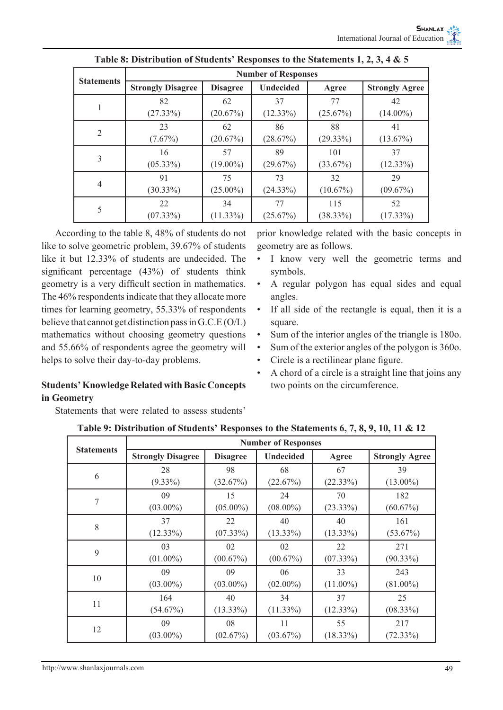|                   | <b>Number of Responses</b> |                 |                  |             |                       |  |  |  |  |
|-------------------|----------------------------|-----------------|------------------|-------------|-----------------------|--|--|--|--|
| <b>Statements</b> | <b>Strongly Disagree</b>   | <b>Disagree</b> | <b>Undecided</b> | Agree       | <b>Strongly Agree</b> |  |  |  |  |
|                   | 82                         | 62              | 37               | 77          | 42                    |  |  |  |  |
|                   | (27.33%)                   | (20.67%)        | $(12.33\%)$      | (25.67%)    | $(14.00\%)$           |  |  |  |  |
| $\overline{2}$    | 23                         | 62              | 86               | 88          | 41                    |  |  |  |  |
|                   | $(7.67\%)$                 | (20.67%)        | (28.67%)         | (29.33%)    | (13.67%)              |  |  |  |  |
| 3                 | 16                         | 57              | 89               | 101         | 37                    |  |  |  |  |
|                   | $(05.33\%)$                | $(19.00\%)$     | (29.67%)         | (33.67%)    | $(12.33\%)$           |  |  |  |  |
| $\overline{4}$    | 91                         | 75              | 73               | 32          | 29                    |  |  |  |  |
|                   | $(30.33\%)$                | $(25.00\%)$     | (24.33%)         | (10.67%)    | (09.67%)              |  |  |  |  |
| 5                 | 22                         | 34              | 77               | 115         | 52                    |  |  |  |  |
|                   | $(07.33\%)$                | $(11.33\%)$     | (25.67%)         | $(38.33\%)$ | $(17.33\%)$           |  |  |  |  |

**Table 8: Distribution of Students' Responses to the Statements 1, 2, 3, 4 & 5**

 According to the table 8, 48% of students do not like to solve geometric problem, 39.67% of students like it but 12.33% of students are undecided. The significant percentage (43%) of students think geometry is a very difficult section in mathematics. The 46% respondents indicate that they allocate more times for learning geometry, 55.33% of respondents believe that cannot get distinction passin G.C.E (O/L) mathematics without choosing geometry questions and 55.66% of respondents agree the geometry will helps to solve their day-to-day problems.

**Students' Knowledge Related with Basic Concepts in Geometry**

Statements that were related to assess students'

prior knowledge related with the basic concepts in geometry are as follows.

- • I know very well the geometric terms and symbols.
- A regular polygon has equal sides and equal angles.
- If all side of the rectangle is equal, then it is a square.
- Sum of the interior angles of the triangle is 180o.
- Sum of the exterior angles of the polygon is 360o.
- Circle is a rectilinear plane figure.
- A chord of a circle is a straight line that joins any two points on the circumference.

| <b>Statements</b> | <b>Number of Responses</b> |                 |                  |             |                       |  |  |  |
|-------------------|----------------------------|-----------------|------------------|-------------|-----------------------|--|--|--|
|                   | <b>Strongly Disagree</b>   | <b>Disagree</b> | <b>Undecided</b> | Agree       | <b>Strongly Agree</b> |  |  |  |
| 6                 | 28                         | 98              | 68               | 67          | 39                    |  |  |  |
|                   | $(9.33\%)$                 | (32.67%)        | (22.67%)         | (22.33%)    | $(13.00\%)$           |  |  |  |
| 7                 | 09                         | 15              | 24               | 70          | 182                   |  |  |  |
|                   | $(03.00\%)$                | $(05.00\%)$     | $(08.00\%)$      | $(23.33\%)$ | $(60.67\%)$           |  |  |  |
| 8                 | 37                         | 22              | 40               | 40          | 161                   |  |  |  |
|                   | $(12.33\%)$                | $(07.33\%)$     | $(13.33\%)$      | $(13.33\%)$ | $(53.67\%)$           |  |  |  |
| 9                 | 03                         | 02              | 02               | 22          | 271                   |  |  |  |
|                   | $(01.00\%)$                | (00.67%)        | (00.67%)         | $(07.33\%)$ | $(90.33\%)$           |  |  |  |
| 10                | 09                         | 09              | 06               | 33          | 243                   |  |  |  |
|                   | $(03.00\%)$                | $(03.00\%)$     | $(02.00\%)$      | $(11.00\%)$ | $(81.00\%)$           |  |  |  |
| 11                | 164                        | 40              | 34               | 37          | 25                    |  |  |  |
|                   | $(54.67\%)$                | $(13.33\%)$     | $(11.33\%)$      | (12.33%)    | $(08.33\%)$           |  |  |  |
| 12                | 09                         | 08              | 11               | 55          | 217                   |  |  |  |
|                   | $(03.00\%)$                | (02.67%)        | (03.67%)         | $(18.33\%)$ | (72.33%)              |  |  |  |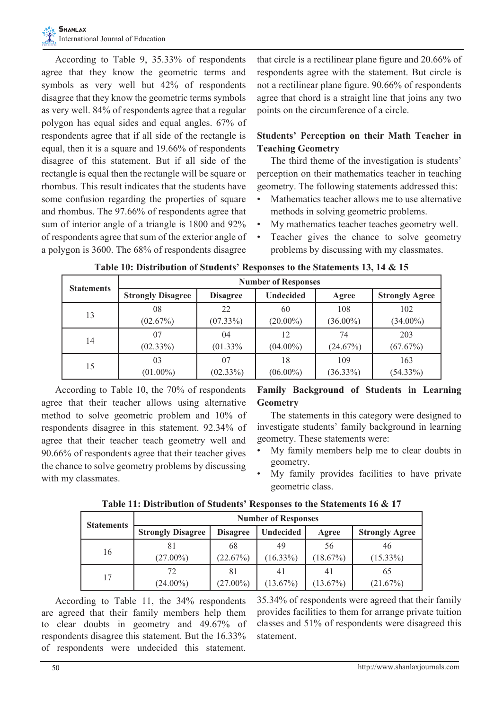According to Table 9, 35.33% of respondents agree that they know the geometric terms and symbols as very well but 42% of respondents disagree that they know the geometric terms symbols as very well. 84% of respondents agree that a regular polygon has equal sides and equal angles. 67% of respondents agree that if all side of the rectangle is equal, then it is a square and 19.66% of respondents disagree of this statement. But if all side of the rectangle is equal then the rectangle will be square or rhombus. This result indicates that the students have some confusion regarding the properties of square and rhombus. The 97.66% of respondents agree that sum of interior angle of a triangle is 1800 and 92% of respondents agree that sum of the exterior angle of a polygon is 3600. The 68% of respondents disagree

that circle is a rectilinear plane figure and 20.66% of respondents agree with the statement. But circle is not a rectilinear plane figure. 90.66% of respondents agree that chord is a straight line that joins any two points on the circumference of a circle.

## **Students' Perception on their Math Teacher in Teaching Geometry**

 The third theme of the investigation is students' perception on their mathematics teacher in teaching geometry. The following statements addressed this:

- Mathematics teacher allows me to use alternative methods in solving geometric problems.
- • My mathematics teacher teaches geometry well.
- Teacher gives the chance to solve geometry problems by discussing with my classmates.

| <b>Statements</b> | <b>Number of Responses</b> |                 |                  |             |                       |  |  |  |  |
|-------------------|----------------------------|-----------------|------------------|-------------|-----------------------|--|--|--|--|
|                   | <b>Strongly Disagree</b>   | <b>Disagree</b> | <b>Undecided</b> | Agree       | <b>Strongly Agree</b> |  |  |  |  |
| 13                | 08                         | 22              | 60               | 108         | 102                   |  |  |  |  |
|                   | (02.67%)                   | $(07.33\%)$     | $(20.00\%)$      | $(36.00\%)$ | $(34.00\%)$           |  |  |  |  |
| 14                | 07                         | 04              | 12               | 74          | 203                   |  |  |  |  |
|                   | $(02.33\%)$                | (01.33%         | $(04.00\%)$      | (24.67%)    | (67.67%)              |  |  |  |  |
| 15                | 03                         | 07              | 18               | 109         | 163                   |  |  |  |  |
|                   | $(01.00\%)$                | $(02.33\%)$     | $(06.00\%)$      | $(36.33\%)$ | (54.33%)              |  |  |  |  |

**Table 10: Distribution of Students' Responses to the Statements 13, 14 & 15**

 According to Table 10, the 70% of respondents agree that their teacher allows using alternative method to solve geometric problem and 10% of respondents disagree in this statement. 92.34% of agree that their teacher teach geometry well and 90.66% of respondents agree that their teacher gives the chance to solve geometry problems by discussing with my classmates.

## **Family Background of Students in Learning Geometry**

The statements in this category were designed to investigate students' family background in learning geometry. These statements were:

- My family members help me to clear doubts in geometry.
- My family provides facilities to have private geometric class.

| <b>Statements</b> | <b>Number of Responses</b> |                                     |             |             |                       |  |  |  |
|-------------------|----------------------------|-------------------------------------|-------------|-------------|-----------------------|--|--|--|
|                   | <b>Strongly Disagree</b>   | <b>Undecided</b><br><b>Disagree</b> |             | Agree       | <b>Strongly Agree</b> |  |  |  |
| 16                | 81                         | 68                                  | 49          | 56          | 46                    |  |  |  |
|                   | $(27.00\%)$                | (22.67%)                            | $(16.33\%)$ | $(18.67\%)$ | $(15.33\%)$           |  |  |  |
| 17                | 72                         | 81                                  | 41          | 41          | 65                    |  |  |  |
|                   | $(24.00\%)$                | $(27.00\%)$                         | $(13.67\%)$ | $(13.67\%)$ | (21.67%)              |  |  |  |

**Table 11: Distribution of Students' Responses to the Statements 16 & 17**

According to Table 11, the 34% respondents are agreed that their family members help them to clear doubts in geometry and 49.67% of respondents disagree this statement. But the 16.33% of respondents were undecided this statement.

35.34% of respondents were agreed that their family provides facilities to them for arrange private tuition classes and 51% of respondents were disagreed this statement.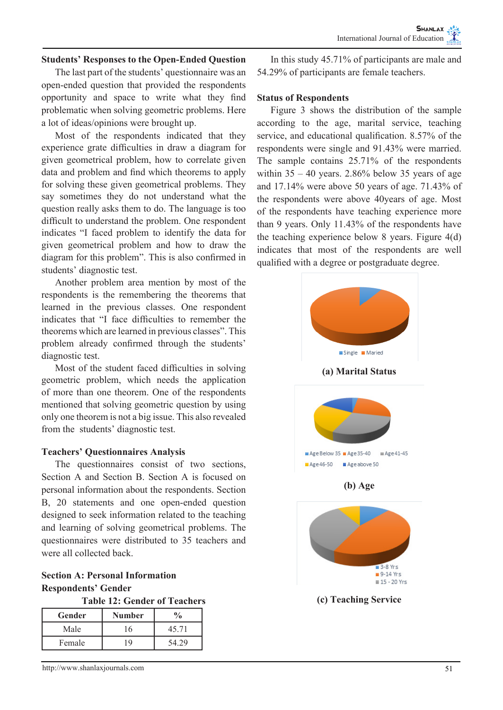#### **Students' Responses to the Open-Ended Question**

 The last part of the students' questionnaire was an open-ended question that provided the respondents opportunity and space to write what they find problematic when solving geometric problems. Here a lot of ideas/opinions were brought up.

Most of the respondents indicated that they experience grate difficulties in draw a diagram for given geometrical problem, how to correlate given data and problem and find which theorems to apply for solving these given geometrical problems. They say sometimes they do not understand what the question really asks them to do. The language is too difficult to understand the problem. One respondent indicates "I faced problem to identify the data for given geometrical problem and how to draw the diagram for this problem". This is also confirmed in students' diagnostic test.

Another problem area mention by most of the respondents is the remembering the theorems that learned in the previous classes. One respondent indicates that "I face difficulties to remember the theorems which are learned in previous classes". This problem already confirmed through the students' diagnostic test.

 Most of the student faced difficulties in solving geometric problem, which needs the application of more than one theorem. One of the respondents mentioned that solving geometric question by using only one theorem is not a big issue. This also revealed from the students' diagnostic test.

#### **Teachers' Questionnaires Analysis**

 The questionnaires consist of two sections, Section A and Section B. Section A is focused on personal information about the respondents. Section B, 20 statements and one open-ended question designed to seek information related to the teaching and learning of solving geometrical problems. The questionnaires were distributed to 35 teachers and were all collected back.

**Section A: Personal Information Respondents' Gender**

|  |  | <b>Table 12: Gender of Teachers</b> |
|--|--|-------------------------------------|
|--|--|-------------------------------------|

| Gender | Number | $\frac{0}{0}$ |
|--------|--------|---------------|
| Male   | 16     | 45.71         |
| Female | 1 Q    | 54.29         |

 In this study 45.71% of participants are male and 54.29% of participants are female teachers.

#### **Status of Respondents**

 Figure 3 shows the distribution of the sample according to the age, marital service, teaching service, and educational qualification. 8.57% of the respondents were single and 91.43% were married. The sample contains 25.71% of the respondents within  $35 - 40$  years. 2.86% below 35 years of age and 17.14% were above 50 years of age. 71.43% of the respondents were above 40years of age. Most of the respondents have teaching experience more than 9 years. Only 11.43% of the respondents have the teaching experience below 8 years. Figure 4(d) indicates that most of the respondents are well qualified with a degree or postgraduate degree.

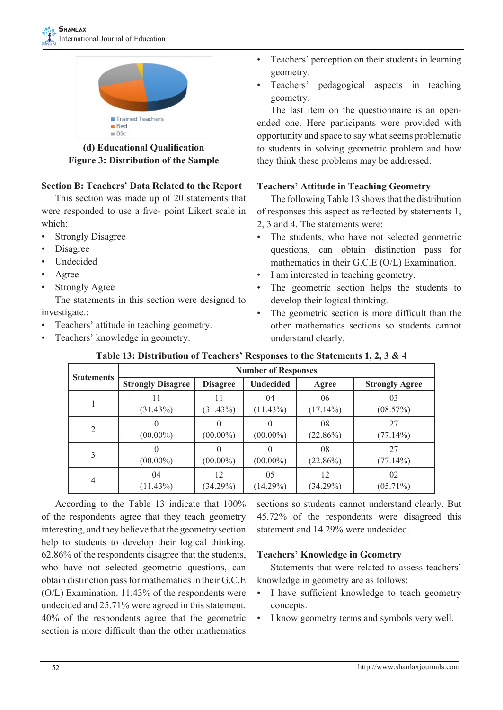

**(d) Educational Qualification Figure 3: Distribution of the Sample**

## **Section B: Teachers' Data Related to the Report**

 This section was made up of 20 statements that were responded to use a five- point Likert scale in which:

- **Strongly Disagree**
- **Disagree**
- **Undecided**
- **Agree**
- **Strongly Agree**

The statements in this section were designed to investigate.:

- • Teachers' attitude in teaching geometry.
- Teachers' knowledge in geometry.
- Teachers' perception on their students in learning geometry.
- Teachers' pedagogical aspects in teaching geometry.

 The last item on the questionnaire is an openended one. Here participants were provided with opportunity and space to say what seems problematic to students in solving geometric problem and how they think these problems may be addressed.

## **Teachers' Attitude in Teaching Geometry**

The following Table 13 shows that the distribution of responses this aspect as reflected by statements 1,

- 2, 3 and 4. The statements were:
- • The students, who have not selected geometric questions, can obtain distinction pass for mathematics in their G.C.E (O/L) Examination.
- I am interested in teaching geometry.
- The geometric section helps the students to develop their logical thinking.
- The geometric section is more difficult than the other mathematics sections so students cannot understand clearly.

| <b>Statements</b> |                          |                   | <b>Number of Responses</b> |                   |                       |
|-------------------|--------------------------|-------------------|----------------------------|-------------------|-----------------------|
|                   | <b>Strongly Disagree</b> | <b>Disagree</b>   | <b>Undecided</b>           | Agree             | <b>Strongly Agree</b> |
|                   | (31.43%)                 | (31.43%)          | 04<br>$(11.43\%)$          | 06<br>$(17.14\%)$ | 03<br>(08.57%)        |
| $\overline{2}$    | $(00.00\%)$              | $(00.00\%)$       | $(00.00\%)$                | 08<br>$(22.86\%)$ | 27<br>$(77.14\%)$     |
| 3                 | $(00.00\%)$              | $(00.00\%)$       | $(00.00\%)$                | 08<br>$(22.86\%)$ | 27<br>(77.14%)        |
| $\overline{4}$    | 04<br>(11.43%)           | 12<br>$(34.29\%)$ | 05<br>$(14.29\%)$          | 12<br>(34.29%)    | 02<br>$(05.71\%)$     |

# **Table 13: Distribution of Teachers' Responses to the Statements 1, 2, 3 & 4**

 According to the Table 13 indicate that 100% of the respondents agree that they teach geometry interesting, and they believe that the geometry section help to students to develop their logical thinking. 62.86% of the respondents disagree that the students, who have not selected geometric questions, can obtain distinction pass for mathematics in their G.C.E. (O/L) Examination. 11.43% of the respondents were undecided and 25.71% were agreed in this statement. 40% of the respondents agree that the geometric section is more difficult than the other mathematics sections so students cannot understand clearly. But 45.72% of the respondents were disagreed this statement and 14.29% were undecided.

# **Teachers' Knowledge in Geometry**

Statements that were related to assess teachers' knowledge in geometry are as follows:

- • I have sufficient knowledge to teach geometry concepts.
- I know geometry terms and symbols very well.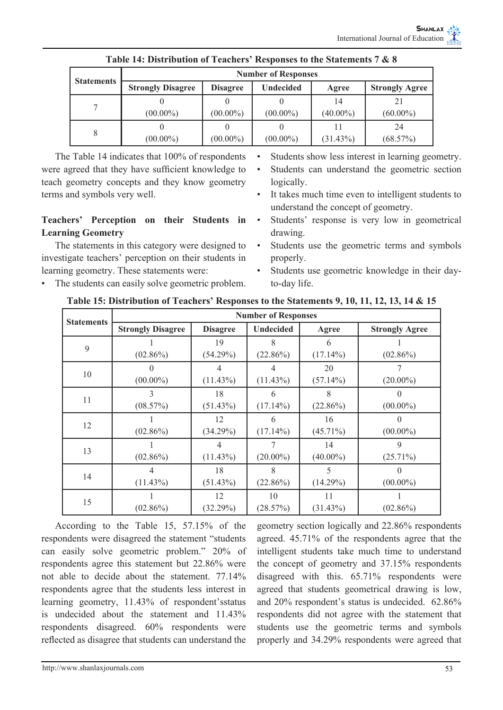| <b>Statements</b> | <b>Number of Responses</b> |                 |             |                   |                       |  |  |  |  |
|-------------------|----------------------------|-----------------|-------------|-------------------|-----------------------|--|--|--|--|
|                   | <b>Strongly Disagree</b>   | <b>Disagree</b> | Undecided   | Agree             | <b>Strongly Agree</b> |  |  |  |  |
|                   | $(00.00\%)$                | $(00.00\%)$     | $(00.00\%)$ | 14<br>$(40.00\%)$ | 21<br>$(60.00\%)$     |  |  |  |  |
| 8                 | $(00.00\%)$                | $(00.00\%)$     | $(00.00\%)$ | 11<br>$(31.43\%)$ | 24<br>(68.57%)        |  |  |  |  |

 The Table 14 indicates that 100% of respondents were agreed that they have sufficient knowledge to teach geometry concepts and they know geometry terms and symbols very well.

## **Teachers' Perception on their Students in Learning Geometry**

The statements in this category were designed to investigate teachers' perception on their students in learning geometry. These statements were:

The students can easily solve geometric problem.

- Students show less interest in learning geometry.
- Students can understand the geometric section logically.
- It takes much time even to intelligent students to understand the concept of geometry.
- Students' response is very low in geometrical drawing.
- Students use the geometric terms and symbols properly.
- Students use geometric knowledge in their dayto-day life.

| <b>Statements</b> | <b>Number of Responses</b> |                 |                  |             |                       |  |  |  |
|-------------------|----------------------------|-----------------|------------------|-------------|-----------------------|--|--|--|
|                   | <b>Strongly Disagree</b>   | <b>Disagree</b> | <b>Undecided</b> | Agree       | <b>Strongly Agree</b> |  |  |  |
| 9                 |                            | 19              | 8                | 6           |                       |  |  |  |
|                   | $(02.86\%)$                | (54.29%)        | $(22.86\%)$      | $(17.14\%)$ | $(02.86\%)$           |  |  |  |
| 10                | 0                          | 4               |                  | 20          | 7                     |  |  |  |
|                   | $(00.00\%)$                | $(11.43\%)$     | $(11.43\%)$      | $(57.14\%)$ | $(20.00\%)$           |  |  |  |
|                   | 3                          | 18              | 6                | 8           | $\Omega$              |  |  |  |
| 11                | (08.57%)                   | (51.43%)        | $(17.14\%)$      | $(22.86\%)$ | $(00.00\%)$           |  |  |  |
|                   |                            | 12              | 6                | 16          |                       |  |  |  |
| 12                | $(02.86\%)$                | (34.29%)        | $(17.14\%)$      | $(45.71\%)$ | $(00.00\%)$           |  |  |  |
|                   |                            | 4               | 7                | 14          | 9                     |  |  |  |
| 13                | $(02.86\%)$                | $(11.43\%)$     | $(20.00\%)$      | $(40.00\%)$ | $(25.71\%)$           |  |  |  |
| 14                | 4                          | 18              | 8                | 5           | $\Omega$              |  |  |  |
|                   | (11.43%)                   | (51.43%)        | $(22.86\%)$      | (14.29%)    | $(00.00\%)$           |  |  |  |
|                   |                            | 12              | 10               | 11          |                       |  |  |  |
| 15                | $(02.86\%)$                | (32.29%)        | (28.57%)         | (31.43%)    | $(02.86\%)$           |  |  |  |

**Table 15: Distribution of Teachers' Responses to the Statements 9, 10, 11, 12, 13, 14 & 15**

 According to the Table 15, 57.15% of the respondents were disagreed the statement "students can easily solve geometric problem." 20% of respondents agree this statement but 22.86% were not able to decide about the statement. 77.14% respondents agree that the students less interest in learning geometry, 11.43% of respondent'sstatus is undecided about the statement and 11.43% respondents disagreed. 60% respondents were reflected as disagree that students can understand the

geometry section logically and 22.86% respondents agreed. 45.71% of the respondents agree that the intelligent students take much time to understand the concept of geometry and 37.15% respondents disagreed with this. 65.71% respondents were agreed that students geometrical drawing is low, and 20% respondent's status is undecided. 62.86% respondents did not agree with the statement that students use the geometric terms and symbols properly and 34.29% respondents were agreed that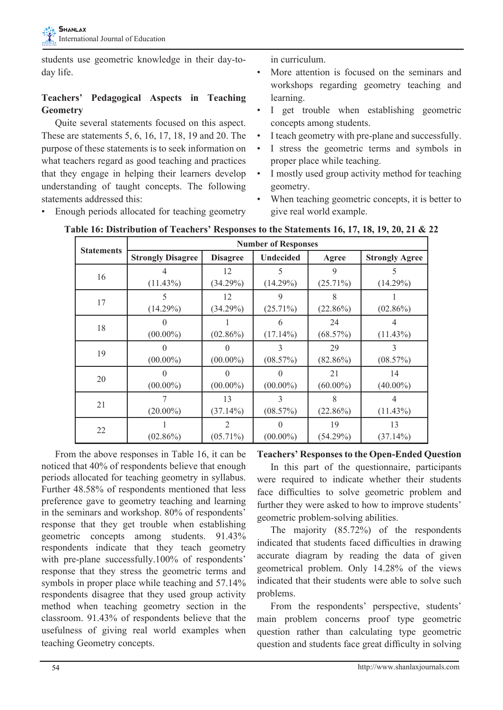students use geometric knowledge in their day-today life.

# **Teachers' Pedagogical Aspects in Teaching Geometry**

 Quite several statements focused on this aspect. These are statements 5, 6, 16, 17, 18, 19 and 20. The purpose of these statements is to seek information on what teachers regard as good teaching and practices that they engage in helping their learners develop understanding of taught concepts. The following statements addressed this:

• Enough periods allocated for teaching geometry

in curriculum.

- More attention is focused on the seminars and workshops regarding geometry teaching and learning.
- I get trouble when establishing geometric concepts among students.
- I teach geometry with pre-plane and successfully.
- • I stress the geometric terms and symbols in proper place while teaching.
- I mostly used group activity method for teaching geometry.
- When teaching geometric concepts, it is better to give real world example.

|                   | <b>Number of Responses</b> |                               |                  |                   |                       |  |  |  |
|-------------------|----------------------------|-------------------------------|------------------|-------------------|-----------------------|--|--|--|
| <b>Statements</b> | <b>Strongly Disagree</b>   | <b>Disagree</b>               | Undecided        | Agree             | <b>Strongly Agree</b> |  |  |  |
| 16                | (11.43%)                   | 12<br>$(34.29\%)$             | 5<br>(14.29%)    | 9<br>$(25.71\%)$  | 5<br>(14.29%)         |  |  |  |
| 17                | 5<br>(14.29%)              | 12<br>$(34.29\%)$             | 9<br>$(25.71\%)$ | $(22.86\%)$       | $(02.86\%)$           |  |  |  |
| $18\,$            | $(00.00\%)$                | $(02.86\%)$                   | 6<br>$(17.14\%)$ | 24<br>$(68.57\%)$ | $(11.43\%)$           |  |  |  |
| 19                | $(00.00\%)$                | 0<br>$(00.00\%)$              | 3<br>(08.57%)    | 29<br>$(82.86\%)$ | 3<br>(08.57%)         |  |  |  |
| 20                | $(00.00\%)$                | $(00.00\%)$                   | $(00.00\%)$      | 21<br>$(60.00\%)$ | 14<br>$(40.00\%)$     |  |  |  |
| 21                | $(20.00\%)$                | 13<br>$(37.14\%)$             | 3<br>(08.57%)    | 8<br>$(22.86\%)$  | $(11.43\%)$           |  |  |  |
| 22                | $(02.86\%)$                | $\overline{2}$<br>$(05.71\%)$ | 0<br>$(00.00\%)$ | 19<br>(54.29%)    | 13<br>$(37.14\%)$     |  |  |  |

**Table 16: Distribution of Teachers' Responses to the Statements 16, 17, 18, 19, 20, 21 & 22**

From the above responses in Table 16, it can be noticed that 40% of respondents believe that enough periods allocated for teaching geometry in syllabus. Further 48.58% of respondents mentioned that less preference gave to geometry teaching and learning in the seminars and workshop. 80% of respondents' response that they get trouble when establishing geometric concepts among students. 91.43% respondents indicate that they teach geometry with pre-plane successfully.100% of respondents' response that they stress the geometric terms and symbols in proper place while teaching and 57.14% respondents disagree that they used group activity method when teaching geometry section in the classroom. 91.43% of respondents believe that the usefulness of giving real world examples when teaching Geometry concepts.

#### **Teachers' Responses to the Open-Ended Question**

 In this part of the questionnaire, participants were required to indicate whether their students face difficulties to solve geometric problem and further they were asked to how to improve students' geometric problem-solving abilities.

 The majority (85.72%) of the respondents indicated that students faced difficulties in drawing accurate diagram by reading the data of given geometrical problem. Only 14.28% of the views indicated that their students were able to solve such problems.

 From the respondents' perspective, students' main problem concerns proof type geometric question rather than calculating type geometric question and students face great difficulty in solving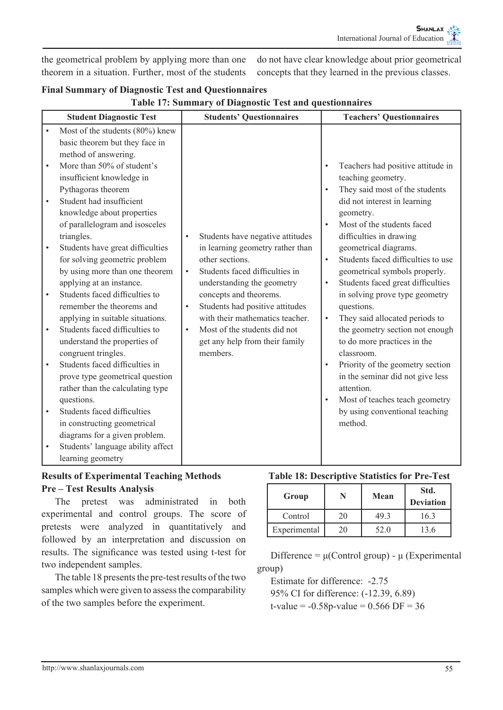the geometrical problem by applying more than one theorem in a situation. Further, most of the students

do not have clear knowledge about prior geometrical concepts that they learned in the previous classes.

| <b>Final Summary of Diagnostic Test and Questionnaires</b> |  |
|------------------------------------------------------------|--|
| Table 17: Summary of Diagnostic Test and questionnaires    |  |

|                                     | <b>Student Diagnostic Test</b>                                                                                                                                                                                                                                                                                                                                                                                                                            |                        | <b>Students' Questionnaires</b>                                                                                                                                                   |                        | <b>Teachers' Questionnaires</b>                                                                                                                                                                                                                                                                                                                                        |
|-------------------------------------|-----------------------------------------------------------------------------------------------------------------------------------------------------------------------------------------------------------------------------------------------------------------------------------------------------------------------------------------------------------------------------------------------------------------------------------------------------------|------------------------|-----------------------------------------------------------------------------------------------------------------------------------------------------------------------------------|------------------------|------------------------------------------------------------------------------------------------------------------------------------------------------------------------------------------------------------------------------------------------------------------------------------------------------------------------------------------------------------------------|
| $\bullet$<br>$\bullet$<br>$\bullet$ | Most of the students (80%) knew<br>basic theorem but they face in<br>method of answering.<br>More than 50% of student's<br>insufficient knowledge in<br>Pythagoras theorem<br>Student had insufficient<br>knowledge about properties<br>of parallelogram and isosceles<br>triangles.<br>Students have great difficulties<br>for solving geometric problem<br>by using more than one theorem<br>applying at an instance.<br>Students faced difficulties to | $\bullet$              | Students have negative attitudes<br>in learning geometry rather than<br>other sections.<br>Students faced difficulties in<br>understanding the geometry<br>concepts and theorems. | $\bullet$<br>$\bullet$ | Teachers had positive attitude in<br>teaching geometry.<br>They said most of the students<br>did not interest in learning<br>geometry.<br>Most of the students faced<br>difficulties in drawing<br>geometrical diagrams.<br>Students faced difficulties to use<br>geometrical symbols properly.<br>Students faced great difficulties<br>in solving prove type geometry |
| $\bullet$                           | remember the theorems and<br>applying in suitable situations.<br>Students faced difficulties to<br>understand the properties of                                                                                                                                                                                                                                                                                                                           | $\bullet$<br>$\bullet$ | Students had positive attitudes<br>with their mathematics teacher.<br>Most of the students did not<br>get any help from their family                                              | $\bullet$              | questions.<br>They said allocated periods to<br>the geometry section not enough<br>to do more practices in the                                                                                                                                                                                                                                                         |
| $\bullet$                           | congruent tringles.<br>Students faced difficulties in<br>prove type geometrical question<br>rather than the calculating type                                                                                                                                                                                                                                                                                                                              |                        | members.                                                                                                                                                                          |                        | classroom.<br>Priority of the geometry section<br>in the seminar did not give less<br>attention.                                                                                                                                                                                                                                                                       |
| $\bullet$                           | questions.<br>Students faced difficulties<br>in constructing geometrical<br>diagrams for a given problem.<br>Students' language ability affect                                                                                                                                                                                                                                                                                                            |                        |                                                                                                                                                                                   | $\bullet$              | Most of teaches teach geometry<br>by using conventional teaching<br>method.                                                                                                                                                                                                                                                                                            |
|                                     | learning geometry                                                                                                                                                                                                                                                                                                                                                                                                                                         |                        |                                                                                                                                                                                   |                        |                                                                                                                                                                                                                                                                                                                                                                        |

# **Results of Experimental Teaching Methods Pre – Test Results Analysis**

 The pretest was administrated in both experimental and control groups. The score of pretests were analyzed in quantitatively and followed by an interpretation and discussion on results. The significance was tested using t-test for two independent samples.

The table 18 presents the pre-test results of the two samples which were given to assess the comparability of the two samples before the experiment.

# **Table 18: Descriptive Statistics for Pre-Test**

| Group        |    | Mean | Std.<br><b>Deviation</b> |
|--------------|----|------|--------------------------|
| Control      | 20 | 49.3 | 16.3                     |
| Experimental | 20 | 52.0 | 13.6                     |

Difference =  $\mu$ (Control group) -  $\mu$  (Experimental group)

 Estimate for difference: -2.75 95% CI for difference: (-12.39, 6.89) t-value =  $-0.58p$ -value =  $0.566$  DF =  $36$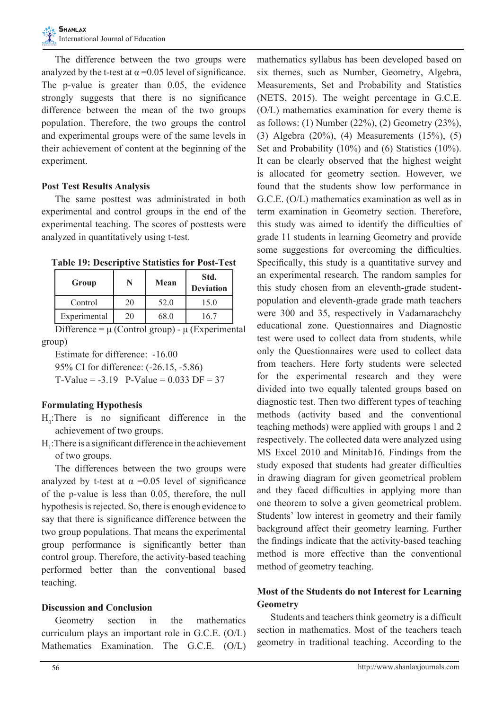The difference between the two groups were analyzed by the t-test at  $\alpha$  =0.05 level of significance. The p-value is greater than 0.05, the evidence strongly suggests that there is no significance difference between the mean of the two groups population. Therefore, the two groups the control and experimental groups were of the same levels in their achievement of content at the beginning of the experiment.

## **Post Test Results Analysis**

 The same posttest was administrated in both experimental and control groups in the end of the experimental teaching. The scores of posttests were analyzed in quantitatively using t-test.

**Table 19: Descriptive Statistics for Post-Test**

| Group        |    | Mean | Std.<br><b>Deviation</b> |
|--------------|----|------|--------------------------|
| Control      | 20 | 52.0 | 15.0                     |
| Experimental | 20 | 68.0 | 6.                       |

Difference =  $\mu$  (Control group) -  $\mu$  (Experimental group)

 Estimate for difference: -16.00

 95% CI for difference: (-26.15, -5.86)

T-Value =  $-3.19$  P-Value = 0.033 DF = 37

## **Formulating Hypothesis**

- $H_0$ : There is no significant difference in the achievement of two groups.
- $H_1$ : There is a significant difference in the achievement of two groups.

 The differences between the two groups were analyzed by t-test at  $\alpha$  =0.05 level of significance of the p-value is less than 0.05, therefore, the null hypothesis is rejected. So, there is enough evidence to say that there is significance difference between the two group populations. That means the experimental group performance is significantly better than control group. Therefore, the activity-based teaching performed better than the conventional based teaching.

## **Discussion and Conclusion**

Geometry section in the mathematics curriculum plays an important role in G.C.E. (O/L) Mathematics Examination. The G.C.E. (O/L) mathematics syllabus has been developed based on six themes, such as Number, Geometry, Algebra, Measurements, Set and Probability and Statistics (NETS, 2015). The weight percentage in G.C.E. (O/L) mathematics examination for every theme is as follows: (1) Number (22%), (2) Geometry (23%), (3) Algebra (20%), (4) Measurements (15%), (5) Set and Probability (10%) and (6) Statistics (10%). It can be clearly observed that the highest weight is allocated for geometry section. However, we found that the students show low performance in G.C.E. (O/L) mathematics examination as well as in term examination in Geometry section. Therefore, this study was aimed to identify the difficulties of grade 11 students in learning Geometry and provide some suggestions for overcoming the difficulties. Specifically, this study is a quantitative survey and an experimental research. The random samples for this study chosen from an eleventh-grade studentpopulation and eleventh-grade grade math teachers were 300 and 35, respectively in Vadamarachchy educational zone. Questionnaires and Diagnostic test were used to collect data from students, while only the Questionnaires were used to collect data from teachers. Here forty students were selected for the experimental research and they were divided into two equally talented groups based on diagnostic test. Then two different types of teaching methods (activity based and the conventional teaching methods) were applied with groups 1 and 2 respectively. The collected data were analyzed using MS Excel 2010 and Minitab16. Findings from the study exposed that students had greater difficulties in drawing diagram for given geometrical problem and they faced difficulties in applying more than one theorem to solve a given geometrical problem. Students' low interest in geometry and their family background affect their geometry learning. Further the findings indicate that the activity-based teaching method is more effective than the conventional method of geometry teaching.

# **Most of the Students do not Interest for Learning Geometry**

Students and teachers think geometry is a difficult section in mathematics. Most of the teachers teach geometry in traditional teaching. According to the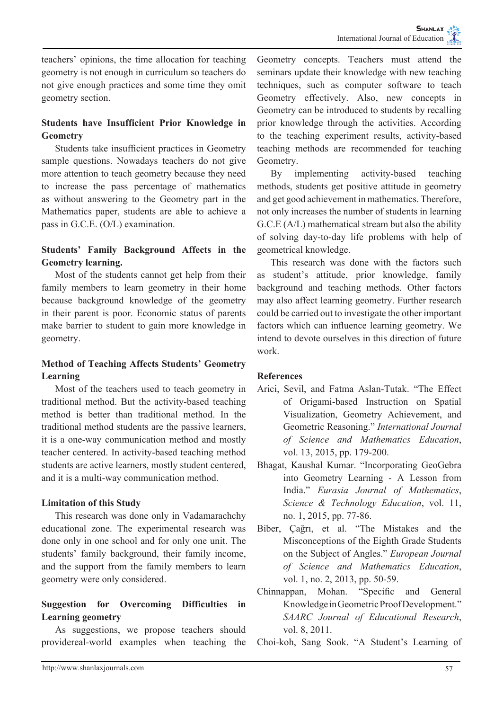teachers' opinions, the time allocation for teaching geometry is not enough in curriculum so teachers do not give enough practices and some time they omit geometry section.

# **Students have Insufficient Prior Knowledge in Geometry**

 Students take insufficient practices in Geometry sample questions. Nowadays teachers do not give more attention to teach geometry because they need to increase the pass percentage of mathematics as without answering to the Geometry part in the Mathematics paper, students are able to achieve a pass in G.C.E. (O/L) examination.

# **Students' Family Background Affects in the Geometry learning.**

 Most of the students cannot get help from their family members to learn geometry in their home because background knowledge of the geometry in their parent is poor. Economic status of parents make barrier to student to gain more knowledge in geometry.

# **Method of Teaching Affects Students' Geometry Learning**

 Most of the teachers used to teach geometry in traditional method. But the activity-based teaching method is better than traditional method. In the traditional method students are the passive learners, it is a one-way communication method and mostly teacher centered. In activity-based teaching method students are active learners, mostly student centered, and it is a multi-way communication method.

## **Limitation of this Study**

This research was done only in Vadamarachchy educational zone. The experimental research was done only in one school and for only one unit. The students' family background, their family income, and the support from the family members to learn geometry were only considered.

# **Suggestion for Overcoming Difficulties in Learning geometry**

 As suggestions, we propose teachers should providereal-world examples when teaching the Geometry concepts. Teachers must attend the seminars update their knowledge with new teaching techniques, such as computer software to teach Geometry effectively. Also, new concepts in Geometry can be introduced to students by recalling prior knowledge through the activities. According to the teaching experiment results, activity-based teaching methods are recommended for teaching Geometry.

 By implementing activity-based teaching methods, students get positive attitude in geometry and get good achievement in mathematics. Therefore, not only increases the number of students in learning G.C.E (A/L) mathematical stream but also the ability of solving day-to-day life problems with help of geometrical knowledge.

 This research was done with the factors such as student's attitude, prior knowledge, family background and teaching methods. Other factors may also affect learning geometry. Further research could be carried out to investigate the other important factors which can influence learning geometry. We intend to devote ourselves in this direction of future work.

# **References**

- Arici, Sevil, and Fatma Aslan-Tutak. "The Effect of Origami-based Instruction on Spatial Visualization, Geometry Achievement, and Geometric Reasoning." *International Journal of Science and Mathematics Education*, vol. 13, 2015, pp. 179-200.
- Bhagat, Kaushal Kumar. "Incorporating GeoGebra into Geometry Learning - A Lesson from India." *Eurasia Journal of Mathematics*, *Science & Technology Education*, vol. 11, no. 1, 2015, pp. 77-86.
- Biber, Çağrı, et al. "The Mistakes and the Misconceptions of the Eighth Grade Students on the Subject of Angles." *European Journal of Science and Mathematics Education*, vol. 1, no. 2, 2013, pp. 50-59.
- Chinnappan, Mohan. "Specific and General Knowledge in Geometric Proof Development." *SAARC Journal of Educational Research*, vol. 8, 2011.
- Choi-koh, Sang Sook. "A Student's Learning of